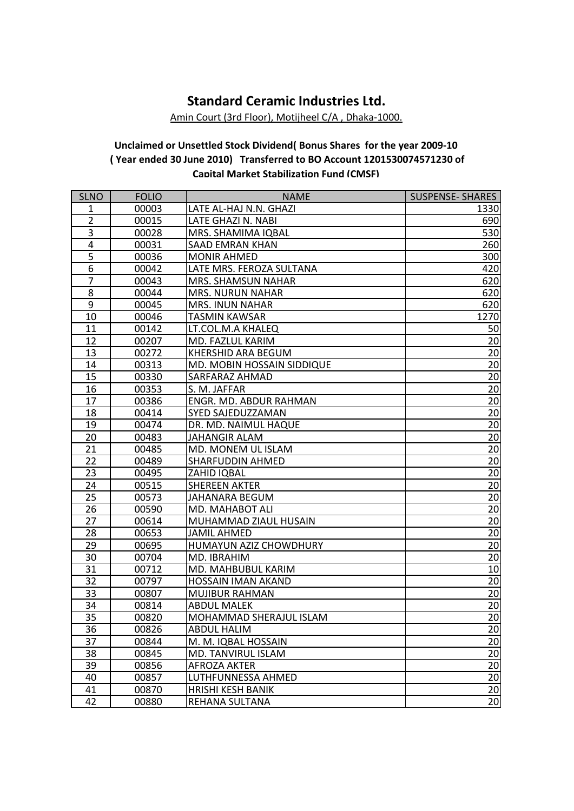## **Standard Ceramic Industries Ltd.**

Amin Court (3rd Floor), Motijheel C/A , Dhaka-1000.

## **Unclaimed or Unsettled Stock Dividend( Bonus Shares for the year 2009-10 ( Year ended 30 June 2010) Transferred to BO Account 1201530074571230 of Capital Market Stabilization Fund (CMSF)**

| <b>SLNO</b>    | <b>FOLIO</b> | <b>NAME</b>                | <b>SUSPENSE- SHARES</b> |
|----------------|--------------|----------------------------|-------------------------|
| 1              | 00003        | LATE AL-HAJ N.N. GHAZI     | 1330                    |
| $\overline{2}$ | 00015        | LATE GHAZI N. NABI         | 690                     |
| 3              | 00028        | MRS. SHAMIMA IQBAL         | 530                     |
| 4              | 00031        | <b>SAAD EMRAN KHAN</b>     | 260                     |
| 5              | 00036        | <b>MONIR AHMED</b>         | 300                     |
| 6              | 00042        | LATE MRS. FEROZA SULTANA   | 420                     |
| 7              | 00043        | MRS. SHAMSUN NAHAR         | 620                     |
| 8              | 00044        | <b>MRS. NURUN NAHAR</b>    | 620                     |
| $\overline{9}$ | 00045        | MRS. INUN NAHAR            | 620                     |
| 10             | 00046        | TASMIN KAWSAR              | 1270                    |
| 11             | 00142        | LT.COL.M.A KHALEQ          | 50                      |
| 12             | 00207        | MD. FAZLUL KARIM           | 20                      |
| 13             | 00272        | KHERSHID ARA BEGUM         | 20                      |
| 14             | 00313        | MD. MOBIN HOSSAIN SIDDIQUE | 20                      |
| 15             | 00330        | SARFARAZ AHMAD             | 20                      |
| 16             | 00353        | S. M. JAFFAR               | 20                      |
| 17             | 00386        | ENGR. MD. ABDUR RAHMAN     | 20                      |
| 18             | 00414        | SYED SAJEDUZZAMAN          | 20                      |
| 19             | 00474        | DR. MD. NAIMUL HAQUE       | 20                      |
| 20             | 00483        | <b>JAHANGIR ALAM</b>       | 20                      |
| 21             | 00485        | MD. MONEM UL ISLAM         | 20                      |
| 22             | 00489        | <b>SHARFUDDIN AHMED</b>    | 20                      |
| 23             | 00495        | ZAHID IQBAL                | 20                      |
| 24             | 00515        | <b>SHEREEN AKTER</b>       | 20                      |
| 25             | 00573        | JAHANARA BEGUM             | 20                      |
| 26             | 00590        | MD. MAHABOT ALI            | 20                      |
| 27             | 00614        | MUHAMMAD ZIAUL HUSAIN      | 20                      |
| 28             | 00653        | <b>JAMIL AHMED</b>         | 20                      |
| 29             | 00695        | HUMAYUN AZIZ CHOWDHURY     | 20                      |
| 30             | 00704        | MD. IBRAHIM                | 20                      |
| 31             | 00712        | MD. MAHBUBUL KARIM         | 10                      |
| 32             | 00797        | HOSSAIN IMAN AKAND         | 20                      |
| 33             | 00807        | <b>MUJIBUR RAHMAN</b>      | 20                      |
| 34             | 00814        | <b>ABDUL MALEK</b>         | 20                      |
| 35             | 00820        | MOHAMMAD SHERAJUL ISLAM    | 20                      |
| 36             | 00826        | <b>ABDUL HALIM</b>         | 20                      |
| 37             | 00844        | M. M. IQBAL HOSSAIN        | 20                      |
| 38             | 00845        | MD. TANVIRUL ISLAM         | 20                      |
| 39             | 00856        | <b>AFROZA AKTER</b>        | 20                      |
| 40             | 00857        | LUTHFUNNESSA AHMED         | 20                      |
| 41             | 00870        | <b>HRISHI KESH BANIK</b>   | 20                      |
| 42             | 00880        | REHANA SULTANA             | 20                      |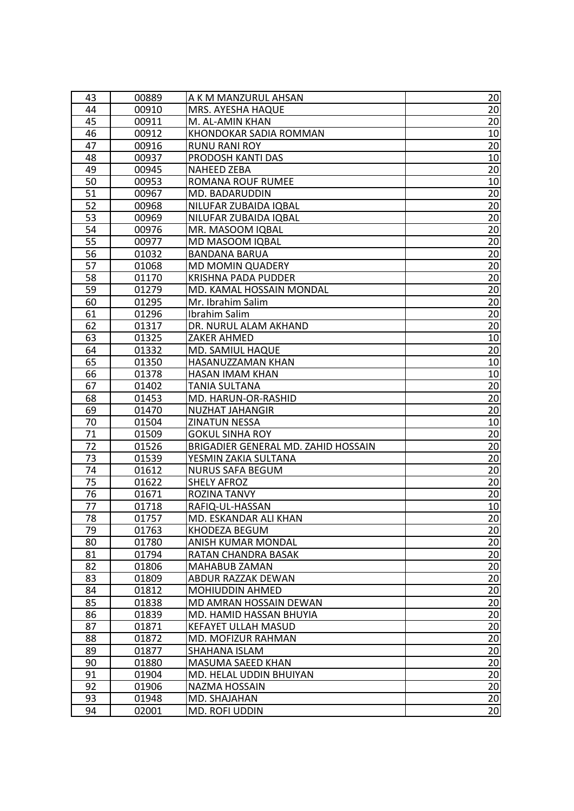| 43 | 00889 | A K M MANZURUL AHSAN                | 20              |
|----|-------|-------------------------------------|-----------------|
| 44 | 00910 | MRS. AYESHA HAQUE                   | 20              |
| 45 | 00911 | M. AL-AMIN KHAN                     | 20              |
| 46 | 00912 | KHONDOKAR SADIA ROMMAN              | 10              |
| 47 | 00916 | <b>RUNU RANI ROY</b>                | 20              |
| 48 | 00937 | PRODOSH KANTI DAS                   | 10              |
| 49 | 00945 | <b>NAHEED ZEBA</b>                  | 20              |
| 50 | 00953 | ROMANA ROUF RUMEE                   | 10              |
| 51 | 00967 | MD. BADARUDDIN                      | 20              |
| 52 | 00968 | NILUFAR ZUBAIDA IQBAL               | 20              |
| 53 | 00969 | NILUFAR ZUBAIDA IQBAL               | 20              |
| 54 | 00976 | MR. MASOOM IQBAL                    | $\overline{20}$ |
| 55 | 00977 | MD MASOOM IQBAL                     | 20              |
| 56 | 01032 | <b>BANDANA BARUA</b>                | 20              |
| 57 | 01068 | <b>MD MOMIN QUADERY</b>             | 20              |
| 58 | 01170 | <b>KRISHNA PADA PUDDER</b>          | 20              |
| 59 | 01279 | MD. KAMAL HOSSAIN MONDAL            | 20              |
| 60 | 01295 | Mr. Ibrahim Salim                   | $\overline{20}$ |
| 61 | 01296 | Ibrahim Salim                       | 20              |
| 62 | 01317 | DR. NURUL ALAM AKHAND               | 20              |
| 63 | 01325 | ZAKER AHMED                         | 10              |
| 64 | 01332 | MD. SAMIUL HAQUE                    | 20              |
| 65 | 01350 | HASANUZZAMAN KHAN                   | 10              |
| 66 | 01378 | HASAN IMAM KHAN                     | 10              |
| 67 | 01402 | TANIA SULTANA                       | 20              |
| 68 | 01453 | MD. HARUN-OR-RASHID                 | 20              |
| 69 | 01470 | <b>NUZHAT JAHANGIR</b>              | 20              |
| 70 | 01504 | ZINATUN NESSA                       | 10              |
| 71 | 01509 | <b>GOKUL SINHA ROY</b>              | 20              |
| 72 | 01526 | BRIGADIER GENERAL MD. ZAHID HOSSAIN | 20              |
| 73 | 01539 | YESMIN ZAKIA SULTANA                | 20              |
| 74 | 01612 | <b>NURUS SAFA BEGUM</b>             | 20              |
| 75 | 01622 | <b>SHELY AFROZ</b>                  | 20              |
| 76 | 01671 | ROZINA TANVY                        | 20              |
| 77 | 01718 | RAFIQ-UL-HASSAN                     | 10              |
| 78 | 01757 | MD. ESKANDAR ALI KHAN               | 20              |
| 79 | 01763 | KHODEZA BEGUM                       | 20              |
| 80 | 01780 | ANISH KUMAR MONDAL                  | 20              |
| 81 | 01794 | RATAN CHANDRA BASAK                 | 20              |
| 82 | 01806 | MAHABUB ZAMAN                       | 20              |
| 83 | 01809 | ABDUR RAZZAK DEWAN                  | 20              |
| 84 | 01812 | <b>MOHIUDDIN AHMED</b>              | 20              |
| 85 | 01838 | MD AMRAN HOSSAIN DEWAN              | 20              |
| 86 | 01839 | MD. HAMID HASSAN BHUYIA             | 20              |
| 87 | 01871 | <b>KEFAYET ULLAH MASUD</b>          | 20              |
| 88 | 01872 | MD. MOFIZUR RAHMAN                  | 20              |
| 89 | 01877 | SHAHANA ISLAM                       | 20              |
| 90 | 01880 | MASUMA SAEED KHAN                   | 20              |
| 91 | 01904 | MD. HELAL UDDIN BHUIYAN             | $\overline{20}$ |
| 92 | 01906 | NAZMA HOSSAIN                       | 20              |
| 93 | 01948 | MD. SHAJAHAN                        | 20              |
| 94 | 02001 | MD. ROFI UDDIN                      | 20              |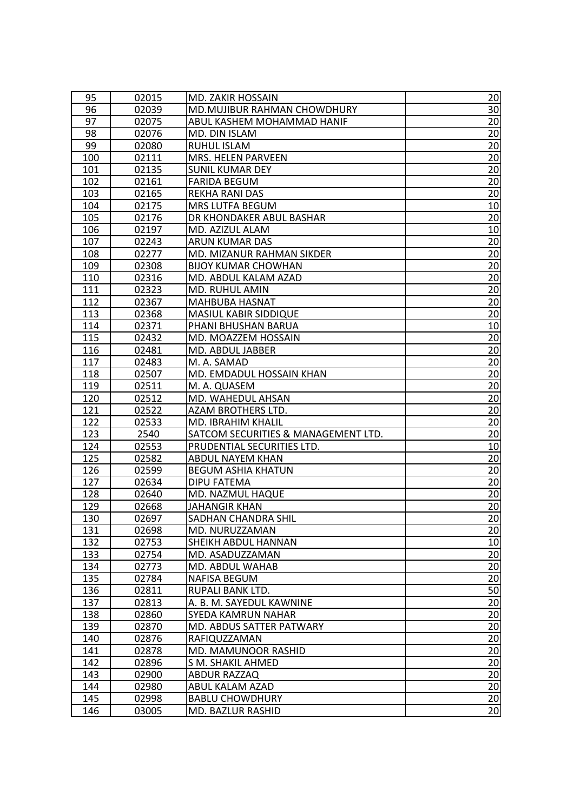| 95         | 02015          | MD. ZAKIR HOSSAIN                             | 20                    |
|------------|----------------|-----------------------------------------------|-----------------------|
| 96         | 02039          | MD.MUJIBUR RAHMAN CHOWDHURY                   | 30 <sub>l</sub>       |
| 97         | 02075          | ABUL KASHEM MOHAMMAD HANIF                    | 20                    |
| 98         | 02076          | MD. DIN ISLAM                                 | 20                    |
| 99         | 02080          | <b>RUHUL ISLAM</b>                            | 20                    |
| 100        | 02111          | MRS. HELEN PARVEEN                            | 20                    |
| 101        | 02135          | <b>SUNIL KUMAR DEY</b>                        | 20                    |
| 102        | 02161          | <b>FARIDA BEGUM</b>                           | 20                    |
| 103        | 02165          | <b>REKHA RANI DAS</b>                         | 20                    |
| 104        | 02175          | MRS LUTFA BEGUM                               | 10                    |
| 105        | 02176          | DR KHONDAKER ABUL BASHAR                      | 20                    |
| 106        | 02197          | MD. AZIZUL ALAM                               | 10                    |
| 107        | 02243          | ARUN KUMAR DAS                                | 20                    |
| 108        | 02277          | MD. MIZANUR RAHMAN SIKDER                     | 20                    |
| 109        | 02308          | <b>BIJOY KUMAR CHOWHAN</b>                    | 20                    |
| 110        | 02316          | MD. ABDUL KALAM AZAD                          | 20                    |
| 111        | 02323          | MD. RUHUL AMIN                                | 20                    |
| 112        | 02367          | <b>MAHBUBA HASNAT</b>                         | 20                    |
| 113        | 02368          | <b>MASIUL KABIR SIDDIQUE</b>                  | 20                    |
| 114        | 02371          | PHANI BHUSHAN BARUA                           | 10                    |
| 115        | 02432          | MD. MOAZZEM HOSSAIN                           | 20                    |
| 116        | 02481          | MD. ABDUL JABBER                              | 20                    |
| 117        | 02483          | M. A. SAMAD                                   | 20                    |
| 118        | 02507          | MD. EMDADUL HOSSAIN KHAN                      | 20                    |
| 119        | 02511          | M. A. QUASEM                                  | 20                    |
| 120        | 02512          | MD. WAHEDUL AHSAN                             | 20                    |
| 121        | 02522          | AZAM BROTHERS LTD.                            | 20                    |
|            |                |                                               |                       |
|            |                |                                               |                       |
| 122        | 02533          | MD. IBRAHIM KHALIL                            | 20                    |
| 123        | 2540           | SATCOM SECURITIES & MANAGEMENT LTD.           | 20                    |
| 124        | 02553          | PRUDENTIAL SECURITIES LTD.                    | 10                    |
| 125<br>126 | 02582<br>02599 | ABDUL NAYEM KHAN<br><b>BEGUM ASHIA KHATUN</b> | 20<br>20              |
| 127        | 02634          | DIPU FATEMA                                   |                       |
| 128        | 02640          | MD. NAZMUL HAQUE                              | 20<br>20              |
| 129        | 02668          | <b>JAHANGIR KHAN</b>                          | $\overline{20}$       |
| 130        | 02697          | SADHAN CHANDRA SHIL                           | 20                    |
| 131        | 02698          | MD. NURUZZAMAN                                | 20                    |
| 132        | 02753          | SHEIKH ABDUL HANNAN                           | 10                    |
| 133        | 02754          | MD. ASADUZZAMAN                               | 20                    |
| 134        | 02773          | MD. ABDUL WAHAB                               | 20                    |
| 135        | 02784          | <b>NAFISA BEGUM</b>                           | 20                    |
| 136        | 02811          | RUPALI BANK LTD.                              | 50                    |
| 137        | 02813          | A. B. M. SAYEDUL KAWNINE                      | 20                    |
| 138        | 02860          | SYEDA KAMRUN NAHAR                            | 20                    |
| 139        | 02870          | MD. ABDUS SATTER PATWARY                      | 20                    |
| 140        | 02876          | RAFIQUZZAMAN                                  | 20                    |
| 141        | 02878          | MD. MAMUNOOR RASHID                           | 20                    |
| 142        | 02896          | S M. SHAKIL AHMED                             | 20                    |
| 143        | 02900          | ABDUR RAZZAQ                                  | $\overline{20}$       |
| 144        | 02980          | ABUL KALAM AZAD                               | 20                    |
| 145        | 02998          | <b>BABLU CHOWDHURY</b>                        | 20<br>$\overline{20}$ |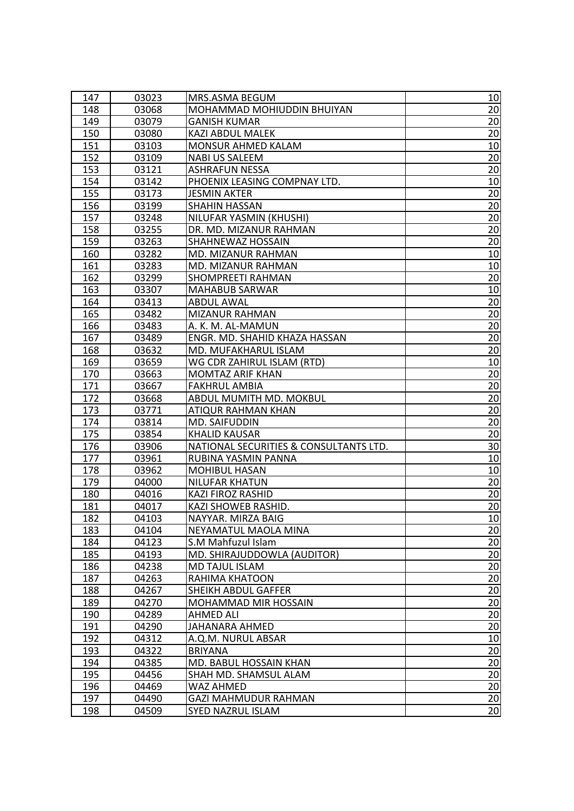| 147        | 03023          | MRS.ASMA BEGUM                                          | 10                    |
|------------|----------------|---------------------------------------------------------|-----------------------|
| 148        | 03068          | MOHAMMAD MOHIUDDIN BHUIYAN                              | 20                    |
| 149        | 03079          | <b>GANISH KUMAR</b>                                     | 20                    |
| 150        | 03080          | <b>KAZI ABDUL MALEK</b>                                 | 20                    |
| 151        | 03103          | MONSUR AHMED KALAM                                      | 10                    |
| 152        | 03109          | <b>NABI US SALEEM</b>                                   | 20                    |
| 153        | 03121          | <b>ASHRAFUN NESSA</b>                                   | 20                    |
| 154        | 03142          | PHOENIX LEASING COMPNAY LTD.                            | 10                    |
| 155        | 03173          | <b>JESMIN AKTER</b>                                     | 20                    |
| 156        | 03199          | <b>SHAHIN HASSAN</b>                                    | 20                    |
| 157        | 03248          | NILUFAR YASMIN (KHUSHI)                                 | 20                    |
| 158        | 03255          | DR. MD. MIZANUR RAHMAN                                  | 20                    |
| 159        | 03263          | <b>SHAHNEWAZ HOSSAIN</b>                                | 20                    |
| 160        | 03282          | MD. MIZANUR RAHMAN                                      | 10                    |
| 161        | 03283          | MD. MIZANUR RAHMAN                                      | 10                    |
| 162        | 03299          | <b>SHOMPREETI RAHMAN</b>                                | 20                    |
| 163        | 03307          | <b>MAHABUB SARWAR</b>                                   | 10                    |
| 164        | 03413          | ABDUL AWAL                                              | 20                    |
| 165        | 03482          | <b>MIZANUR RAHMAN</b>                                   | 20                    |
| 166        | 03483          | A. K. M. AL-MAMUN                                       | 20                    |
| 167        | 03489          | ENGR. MD. SHAHID KHAZA HASSAN                           | 20                    |
| 168        | 03632          | MD. MUFAKHARUL ISLAM                                    | $\overline{20}$       |
| 169        | 03659          | WG CDR ZAHIRUL ISLAM (RTD)                              | 10                    |
| 170        | 03663          | <b>MOMTAZ ARIF KHAN</b>                                 | 20                    |
| 171        | 03667          | <b>FAKHRUL AMBIA</b>                                    | 20                    |
| 172        | 03668          | ABDUL MUMITH MD. MOKBUL                                 | 20                    |
| 173        | 03771          | <b>ATIQUR RAHMAN KHAN</b>                               | 20                    |
| 174        | 03814          | MD. SAIFUDDIN                                           | 20                    |
| 175        | 03854          | <b>KHALID KAUSAR</b>                                    | 20                    |
| 176        | 03906          | NATIONAL SECURITIES & CONSULTANTS LTD.                  | 30                    |
| 177        | 03961          | RUBINA YASMIN PANNA                                     | 10                    |
| 178        | 03962          | <b>MOHIBUL HASAN</b>                                    | 10                    |
| 179        | 04000          | <b>NILUFAR KHATUN</b>                                   | 20                    |
| 180        | 04016          | <b>KAZI FIROZ RASHID</b>                                | 20                    |
| 181        | 04017          | KAZI SHOWEB RASHID.                                     | 20                    |
| 182        | 04103          | NAYYAR. MIRZA BAIG                                      | 10                    |
| 183        | 04104          | NEYAMATUL MAOLA MINA                                    | 20                    |
| 184        | 04123          | S.M Mahfuzul Islam                                      | 20                    |
| 185        | 04193          | MD. SHIRAJUDDOWLA (AUDITOR)                             | $\overline{20}$       |
| 186        | 04238          | <b>MD TAJUL ISLAM</b>                                   | 20                    |
| 187        | 04263          | RAHIMA KHATOON                                          | 20                    |
| 188        | 04267          | <b>SHEIKH ABDUL GAFFER</b>                              | $\overline{20}$       |
| 189        | 04270          | <b>MOHAMMAD MIR HOSSAIN</b>                             | 20                    |
| 190        | 04289          | <b>AHMED ALI</b>                                        | 20                    |
| 191        | 04290          | JAHANARA AHMED                                          | 20                    |
| 192        | 04312          | A.Q.M. NURUL ABSAR                                      | 10                    |
| 193        | 04322          | <b>BRIYANA</b>                                          | 20                    |
| 194        | 04385          | MD. BABUL HOSSAIN KHAN                                  | 20                    |
|            |                |                                                         |                       |
| 195        | 04456          | SHAH MD. SHAMSUL ALAM                                   | 20                    |
| 196        | 04469          | <b>WAZ AHMED</b>                                        | 20                    |
| 197<br>198 | 04490<br>04509 | <b>GAZI MAHMUDUR RAHMAN</b><br><b>SYED NAZRUL ISLAM</b> | 20<br>$\overline{20}$ |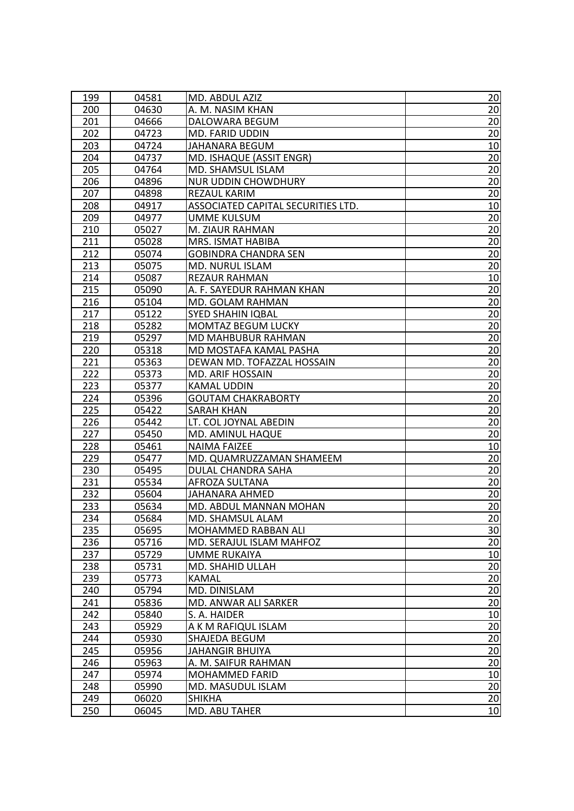| 199 | 04581 | MD. ABDUL AZIZ                     | 20              |
|-----|-------|------------------------------------|-----------------|
| 200 | 04630 | A. M. NASIM KHAN                   | 20              |
| 201 | 04666 | DALOWARA BEGUM                     | 20              |
| 202 | 04723 | MD. FARID UDDIN                    | 20              |
| 203 | 04724 | JAHANARA BEGUM                     | 10              |
| 204 | 04737 | MD. ISHAQUE (ASSIT ENGR)           | 20              |
| 205 | 04764 | MD. SHAMSUL ISLAM                  | 20              |
| 206 | 04896 | <b>NUR UDDIN CHOWDHURY</b>         | 20              |
| 207 | 04898 | REZAUL KARIM                       | 20              |
| 208 | 04917 | ASSOCIATED CAPITAL SECURITIES LTD. | 10              |
| 209 | 04977 | UMME KULSUM                        | 20              |
| 210 | 05027 | M. ZIAUR RAHMAN                    | 20              |
| 211 | 05028 | MRS. ISMAT HABIBA                  | 20              |
| 212 | 05074 | <b>GOBINDRA CHANDRA SEN</b>        | 20              |
| 213 | 05075 | MD. NURUL ISLAM                    | 20              |
| 214 | 05087 | REZAUR RAHMAN                      | 10              |
| 215 | 05090 | A. F. SAYEDUR RAHMAN KHAN          | 20              |
| 216 | 05104 | MD. GOLAM RAHMAN                   | 20              |
| 217 | 05122 | <b>SYED SHAHIN IQBAL</b>           | 20              |
| 218 | 05282 | <b>MOMTAZ BEGUM LUCKY</b>          | 20              |
| 219 | 05297 | MD MAHBUBUR RAHMAN                 | 20              |
| 220 | 05318 | MD MOSTAFA KAMAL PASHA             | $\overline{20}$ |
| 221 | 05363 | DEWAN MD. TOFAZZAL HOSSAIN         | 20              |
| 222 | 05373 | MD. ARIF HOSSAIN                   | 20              |
| 223 | 05377 | <b>KAMAL UDDIN</b>                 | 20              |
| 224 | 05396 | <b>GOUTAM CHAKRABORTY</b>          | 20              |
| 225 | 05422 | <b>SARAH KHAN</b>                  | 20              |
| 226 | 05442 | LT. COL JOYNAL ABEDIN              | 20              |
| 227 | 05450 | MD. AMINUL HAQUE                   | 20              |
| 228 | 05461 | <b>NAIMA FAIZEE</b>                | 10              |
| 229 | 05477 | MD. QUAMRUZZAMAN SHAMEEM           | 20              |
| 230 | 05495 | DULAL CHANDRA SAHA                 | 20              |
| 231 | 05534 | AFROZA SULTANA                     | 20              |
| 232 | 05604 | JAHANARA AHMED                     | 20              |
| 233 | 05634 | MD. ABDUL MANNAN MOHAN             | 20              |
| 234 | 05684 | MD. SHAMSUL ALAM                   | 20              |
| 235 | 05695 | MOHAMMED RABBAN ALI                | 30              |
| 236 | 05716 | MD. SERAJUL ISLAM MAHFOZ           | 20              |
| 237 | 05729 | <b>UMME RUKAIYA</b>                | 10              |
| 238 | 05731 | MD. SHAHID ULLAH                   | 20              |
| 239 | 05773 | <b>KAMAL</b>                       | 20              |
| 240 | 05794 | MD. DINISLAM                       | $\overline{20}$ |
| 241 | 05836 | MD. ANWAR ALI SARKER               | 20              |
| 242 | 05840 | S. A. HAIDER                       | 10              |
| 243 | 05929 | A K M RAFIQUL ISLAM                | 20              |
| 244 | 05930 | SHAJEDA BEGUM                      | 20              |
| 245 | 05956 | <b>JAHANGIR BHUIYA</b>             | 20              |
| 246 | 05963 | A. M. SAIFUR RAHMAN                | 20              |
| 247 | 05974 | <b>MOHAMMED FARID</b>              | 10              |
| 248 | 05990 | MD. MASUDUL ISLAM                  | 20              |
| 249 | 06020 | <b>SHIKHA</b>                      | 20              |
| 250 | 06045 | MD. ABU TAHER                      | 10              |
|     |       |                                    |                 |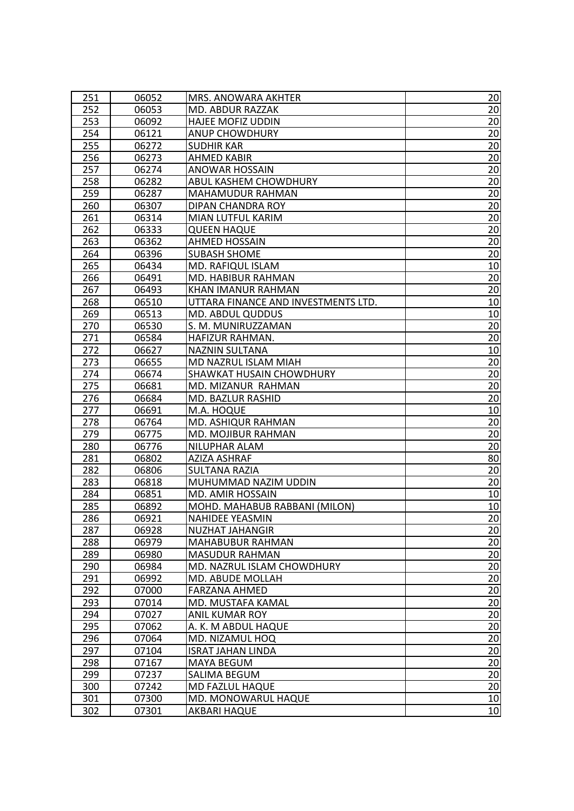| 251 | 06052 | MRS. ANOWARA AKHTER                 | 20              |
|-----|-------|-------------------------------------|-----------------|
| 252 | 06053 | MD. ABDUR RAZZAK                    | 20              |
| 253 | 06092 | <b>HAJEE MOFIZ UDDIN</b>            | 20              |
| 254 | 06121 | <b>ANUP CHOWDHURY</b>               | 20              |
| 255 | 06272 | <b>SUDHIR KAR</b>                   | 20              |
| 256 | 06273 | <b>AHMED KABIR</b>                  | 20              |
| 257 | 06274 | <b>ANOWAR HOSSAIN</b>               | 20              |
| 258 | 06282 | ABUL KASHEM CHOWDHURY               | 20              |
| 259 | 06287 | <b>MAHAMUDUR RAHMAN</b>             | 20              |
| 260 | 06307 | DIPAN CHANDRA ROY                   | 20              |
| 261 | 06314 | MIAN LUTFUL KARIM                   | 20              |
| 262 | 06333 | <b>QUEEN HAQUE</b>                  | $\overline{20}$ |
| 263 | 06362 | AHMED HOSSAIN                       | 20              |
| 264 | 06396 | <b>SUBASH SHOME</b>                 | 20              |
| 265 | 06434 | MD. RAFIQUL ISLAM                   | 10              |
| 266 | 06491 | MD. HABIBUR RAHMAN                  | 20              |
| 267 | 06493 | KHAN IMANUR RAHMAN                  | 20              |
| 268 | 06510 | UTTARA FINANCE AND INVESTMENTS LTD. | 10              |
| 269 | 06513 | <b>MD. ABDUL QUDDUS</b>             | 10              |
| 270 | 06530 | S. M. MUNIRUZZAMAN                  | 20              |
| 271 | 06584 | HAFIZUR RAHMAN.                     | 20              |
| 272 | 06627 | <b>NAZNIN SULTANA</b>               | 10              |
| 273 | 06655 | MD NAZRUL ISLAM MIAH                | 20              |
| 274 | 06674 | SHAWKAT HUSAIN CHOWDHURY            | 20              |
| 275 | 06681 | MD. MIZANUR RAHMAN                  | 20              |
| 276 | 06684 | MD. BAZLUR RASHID                   | 20              |
| 277 | 06691 | M.A. HOQUE                          | 10              |
| 278 | 06764 | MD. ASHIQUR RAHMAN                  | 20              |
| 279 | 06775 | MD. MOJIBUR RAHMAN                  | 20              |
| 280 | 06776 | NILUPHAR ALAM                       | 20              |
| 281 | 06802 | AZIZA ASHRAF                        | 80              |
| 282 | 06806 | <b>SULTANA RAZIA</b>                | 20              |
| 283 | 06818 | MUHUMMAD NAZIM UDDIN                | 20              |
| 284 | 06851 | MD. AMIR HOSSAIN                    | 10              |
| 285 | 06892 | MOHD. MAHABUB RABBANI (MILON)       | 10              |
| 286 | 06921 | <b>NAHIDEE YEASMIN</b>              | 20              |
| 287 | 06928 | <b>NUZHAT JAHANGIR</b>              | 20              |
| 288 | 06979 | MAHABUBUR RAHMAN                    | 20              |
| 289 | 06980 | <b>MASUDUR RAHMAN</b>               | 20              |
| 290 | 06984 | MD. NAZRUL ISLAM CHOWDHURY          | 20              |
| 291 | 06992 | MD. ABUDE MOLLAH                    | 20              |
| 292 | 07000 | <b>FARZANA AHMED</b>                | 20              |
| 293 | 07014 | MD. MUSTAFA KAMAL                   | 20              |
| 294 | 07027 | <b>ANIL KUMAR ROY</b>               | 20              |
| 295 | 07062 | A. K. M ABDUL HAQUE                 | 20              |
| 296 | 07064 | MD. NIZAMUL HOQ                     | 20              |
| 297 | 07104 | <b>ISRAT JAHAN LINDA</b>            | 20              |
| 298 | 07167 | MAYA BEGUM                          | 20              |
| 299 | 07237 | SALIMA BEGUM                        | $\overline{20}$ |
| 300 |       |                                     |                 |
|     | 07242 | MD FAZLUL HAQUE                     | 20              |
| 301 | 07300 | MD. MONOWARUL HAQUE                 | 10<br>10        |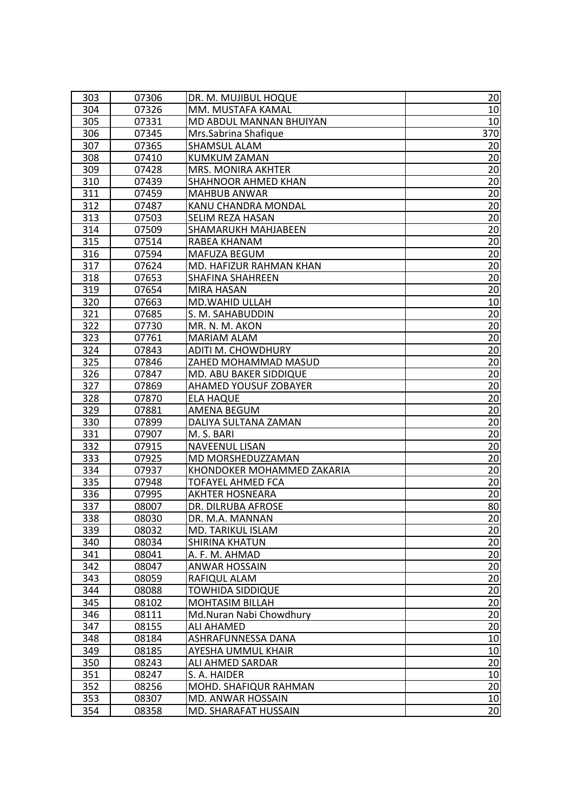| 303 | 07306 | DR. M. MUJIBUL HOQUE       | 20              |
|-----|-------|----------------------------|-----------------|
| 304 | 07326 | MM. MUSTAFA KAMAL          | 10              |
| 305 | 07331 | MD ABDUL MANNAN BHUIYAN    | 10              |
| 306 | 07345 | Mrs.Sabrina Shafique       | 370             |
| 307 | 07365 | SHAMSUL ALAM               | 20              |
| 308 | 07410 | <b>KUMKUM ZAMAN</b>        | 20              |
| 309 | 07428 | MRS. MONIRA AKHTER         | 20              |
| 310 | 07439 | SHAHNOOR AHMED KHAN        | 20              |
| 311 | 07459 | <b>MAHBUB ANWAR</b>        | 20              |
| 312 | 07487 | KANU CHANDRA MONDAL        | 20              |
| 313 | 07503 | SELIM REZA HASAN           | 20              |
| 314 | 07509 | SHAMARUKH MAHJABEEN        | 20              |
| 315 | 07514 | RABEA KHANAM               | 20              |
| 316 | 07594 | <b>MAFUZA BEGUM</b>        | 20              |
| 317 | 07624 | MD. HAFIZUR RAHMAN KHAN    | 20              |
| 318 | 07653 | <b>SHAFINA SHAHREEN</b>    | 20              |
| 319 | 07654 | <b>MIRA HASAN</b>          | 20              |
| 320 | 07663 | <b>MD.WAHID ULLAH</b>      | 10              |
| 321 | 07685 | S. M. SAHABUDDIN           | 20              |
| 322 | 07730 | MR. N. M. AKON             | 20              |
| 323 | 07761 | <b>MARIAM ALAM</b>         | 20              |
| 324 | 07843 | ADITI M. CHOWDHURY         | $\overline{20}$ |
| 325 | 07846 | ZAHED MOHAMMAD MASUD       | 20              |
| 326 | 07847 | MD. ABU BAKER SIDDIQUE     | 20              |
| 327 | 07869 | AHAMED YOUSUF ZOBAYER      | 20              |
| 328 | 07870 | <b>ELA HAQUE</b>           | 20              |
| 329 | 07881 | <b>AMENA BEGUM</b>         | 20              |
| 330 | 07899 | DALIYA SULTANA ZAMAN       | 20              |
| 331 | 07907 | M. S. BARI                 | 20              |
| 332 | 07915 | NAVEENUL LISAN             | 20              |
| 333 | 07925 | MD MORSHEDUZZAMAN          | 20              |
| 334 | 07937 | KHONDOKER MOHAMMED ZAKARIA | 20              |
| 335 | 07948 | TOFAYEL AHMED FCA          | 20              |
| 336 | 07995 | <b>AKHTER HOSNEARA</b>     | 20              |
| 337 | 08007 | DR. DILRUBA AFROSE         | 80              |
| 338 | 08030 | DR. M.A. MANNAN            | 20              |
| 339 | 08032 | MD. TARIKUL ISLAM          | 20              |
| 340 | 08034 | <b>SHIRINA KHATUN</b>      | 20              |
| 341 | 08041 | A. F. M. AHMAD             | $\overline{20}$ |
| 342 | 08047 | <b>ANWAR HOSSAIN</b>       | 20              |
| 343 | 08059 | RAFIQUL ALAM               | 20              |
| 344 | 08088 | <b>TOWHIDA SIDDIQUE</b>    | $\overline{20}$ |
| 345 | 08102 | <b>MOHTASIM BILLAH</b>     | 20              |
| 346 | 08111 | Md.Nuran Nabi Chowdhury    | 20              |
| 347 | 08155 | <b>ALI AHAMED</b>          | $\overline{20}$ |
| 348 | 08184 | ASHRAFUNNESSA DANA         | 10              |
| 349 | 08185 | AYESHA UMMUL KHAIR         | 10              |
| 350 | 08243 | ALI AHMED SARDAR           | 20              |
| 351 | 08247 | S. A. HAIDER               | 10              |
| 352 | 08256 | MOHD. SHAFIQUR RAHMAN      | 20              |
| 353 | 08307 | MD. ANWAR HOSSAIN          | 10              |
| 354 | 08358 | MD. SHARAFAT HUSSAIN       | $\overline{20}$ |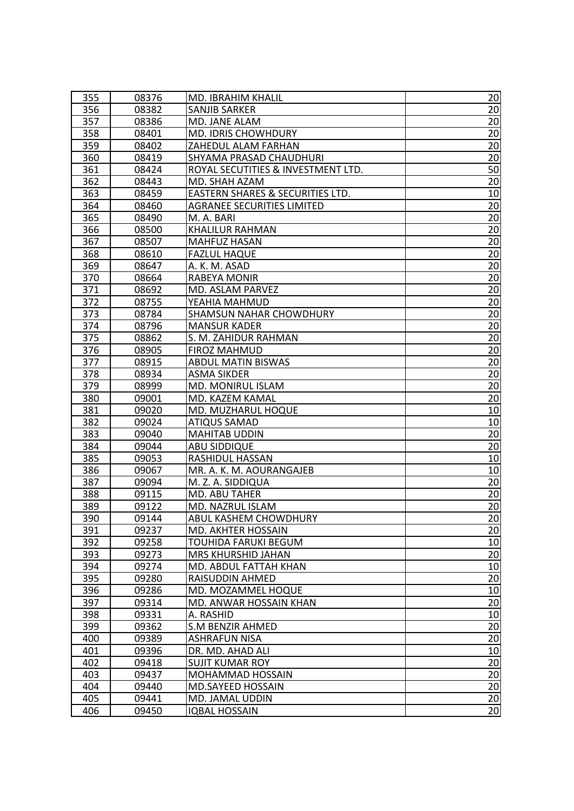| 355 | 08376 | MD. IBRAHIM KHALIL                 | 20              |
|-----|-------|------------------------------------|-----------------|
| 356 | 08382 | <b>SANJIB SARKER</b>               | 20              |
| 357 | 08386 | MD. JANE ALAM                      | 20              |
| 358 | 08401 | MD. IDRIS CHOWHDURY                | 20              |
| 359 | 08402 | ZAHEDUL ALAM FARHAN                | 20              |
| 360 | 08419 | SHYAMA PRASAD CHAUDHURI            | 20              |
| 361 | 08424 | ROYAL SECUTITIES & INVESTMENT LTD. | 50              |
| 362 | 08443 | MD. SHAH AZAM                      | 20              |
| 363 | 08459 | EASTERN SHARES & SECURITIES LTD.   | 10              |
| 364 | 08460 | <b>AGRANEE SECURITIES LIMITED</b>  | 20              |
| 365 | 08490 | M. A. BARI                         | 20              |
| 366 | 08500 | <b>KHALILUR RAHMAN</b>             | 20              |
| 367 | 08507 | <b>MAHFUZ HASAN</b>                | 20              |
| 368 | 08610 | <b>FAZLUL HAQUE</b>                | 20              |
| 369 | 08647 | A. K. M. ASAD                      | 20              |
| 370 | 08664 | <b>RABEYA MONIR</b>                | 20              |
| 371 | 08692 | MD. ASLAM PARVEZ                   | 20              |
| 372 | 08755 | YEAHIA MAHMUD                      | 20              |
| 373 | 08784 | <b>SHAMSUN NAHAR CHOWDHURY</b>     | 20              |
| 374 | 08796 | <b>MANSUR KADER</b>                | 20              |
| 375 | 08862 | S. M. ZAHIDUR RAHMAN               | 20              |
| 376 | 08905 | <b>FIROZ MAHMUD</b>                | $\overline{20}$ |
| 377 | 08915 | <b>ABDUL MATIN BISWAS</b>          | 20              |
| 378 | 08934 | ASMA SIKDER                        | 20              |
| 379 | 08999 | MD. MONIRUL ISLAM                  | 20              |
| 380 | 09001 | MD. KAZEM KAMAL                    | 20              |
| 381 | 09020 | MD. MUZHARUL HOQUE                 | 10              |
| 382 | 09024 | <b>ATIQUS SAMAD</b>                | 10              |
| 383 | 09040 | <b>MAHITAB UDDIN</b>               | 20              |
| 384 | 09044 | <b>ABU SIDDIQUE</b>                | 20              |
| 385 | 09053 | RASHIDUL HASSAN                    | 10              |
| 386 | 09067 | MR. A. K. M. AOURANGAJEB           | 10              |
| 387 | 09094 | M. Z. A. SIDDIQUA                  | 20              |
| 388 | 09115 | MD. ABU TAHER                      | 20              |
| 389 | 09122 | MD. NAZRUL ISLAM                   | 20              |
| 390 | 09144 | ABUL KASHEM CHOWDHURY              | 20              |
| 391 | 09237 | MD. AKHTER HOSSAIN                 | 20              |
| 392 | 09258 | TOUHIDA FARUKI BEGUM               | 10              |
| 393 | 09273 | MRS KHURSHID JAHAN                 | 20              |
| 394 | 09274 | MD. ABDUL FATTAH KHAN              | 10              |
| 395 | 09280 | RAISUDDIN AHMED                    | 20              |
| 396 | 09286 | MD. MOZAMMEL HOQUE                 | 10              |
| 397 | 09314 | MD. ANWAR HOSSAIN KHAN             | 20              |
| 398 | 09331 | A. RASHID                          | 10              |
| 399 | 09362 | <b>S.M BENZIR AHMED</b>            | 20              |
| 400 | 09389 | <b>ASHRAFUN NISA</b>               | 20              |
| 401 | 09396 | DR. MD. AHAD ALI                   | 10              |
| 402 | 09418 | <b>SUJIT KUMAR ROY</b>             | 20              |
| 403 | 09437 | MOHAMMAD HOSSAIN                   | 20              |
| 404 | 09440 | MD.SAYEED HOSSAIN                  | 20              |
| 405 | 09441 | MD. JAMAL UDDIN                    | 20              |
| 406 | 09450 | <b>IQBAL HOSSAIN</b>               | $\overline{20}$ |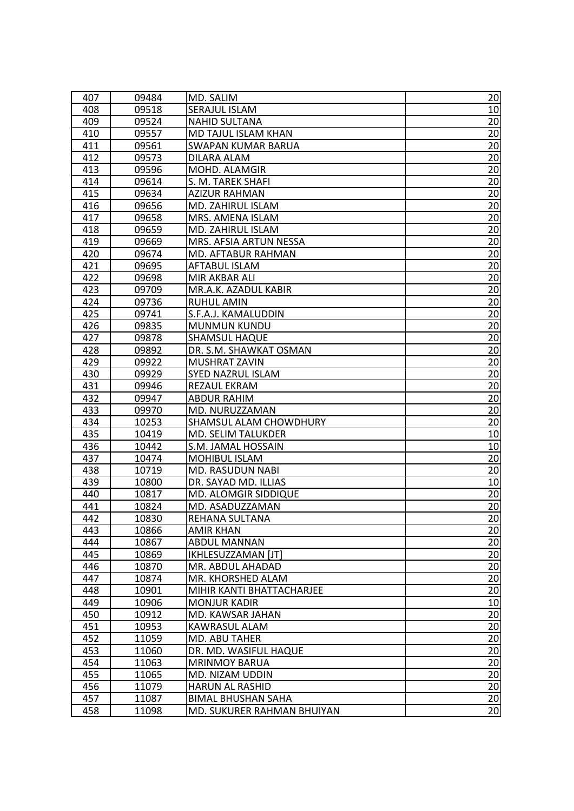| 407 | 09484 | MD. SALIM                  | 20              |
|-----|-------|----------------------------|-----------------|
| 408 | 09518 | SERAJUL ISLAM              | 10              |
| 409 | 09524 | <b>NAHID SULTANA</b>       | 20              |
| 410 | 09557 | MD TAJUL ISLAM KHAN        | 20              |
| 411 | 09561 | <b>SWAPAN KUMAR BARUA</b>  | 20              |
| 412 | 09573 | DILARA ALAM                | 20              |
| 413 | 09596 | MOHD. ALAMGIR              | 20              |
| 414 | 09614 | S. M. TAREK SHAFI          | 20              |
| 415 | 09634 | <b>AZIZUR RAHMAN</b>       | 20              |
| 416 | 09656 | MD. ZAHIRUL ISLAM          | 20              |
| 417 | 09658 | MRS. AMENA ISLAM           | 20              |
| 418 | 09659 | MD. ZAHIRUL ISLAM          | $\overline{20}$ |
| 419 | 09669 | MRS. AFSIA ARTUN NESSA     | 20              |
| 420 | 09674 | MD. AFTABUR RAHMAN         | 20              |
| 421 | 09695 | <b>AFTABUL ISLAM</b>       | 20              |
| 422 | 09698 | MIR AKBAR ALI              | 20              |
| 423 | 09709 | MR.A.K. AZADUL KABIR       | 20              |
| 424 | 09736 | <b>RUHUL AMIN</b>          | 20              |
| 425 | 09741 | S.F.A.J. KAMALUDDIN        | 20              |
| 426 | 09835 | <b>MUNMUN KUNDU</b>        | 20              |
| 427 | 09878 | <b>SHAMSUL HAQUE</b>       | 20              |
| 428 | 09892 | DR. S.M. SHAWKAT OSMAN     | 20              |
| 429 | 09922 | MUSHRAT ZAVIN              | 20              |
| 430 | 09929 | SYED NAZRUL ISLAM          | 20              |
| 431 | 09946 | REZAUL EKRAM               | 20              |
| 432 | 09947 | <b>ABDUR RAHIM</b>         | 20              |
| 433 | 09970 | MD. NURUZZAMAN             | 20              |
| 434 | 10253 | SHAMSUL ALAM CHOWDHURY     | 20              |
| 435 | 10419 | MD. SELIM TALUKDER         | 10              |
| 436 | 10442 | S.M. JAMAL HOSSAIN         | 10              |
| 437 | 10474 | <b>MOHIBUL ISLAM</b>       | 20              |
| 438 | 10719 | <b>MD. RASUDUN NABI</b>    | 20              |
| 439 | 10800 | DR. SAYAD MD. ILLIAS       | 10              |
| 440 | 10817 | MD. ALOMGIR SIDDIQUE       | 20              |
| 441 | 10824 | MD. ASADUZZAMAN            | 20              |
| 442 | 10830 | REHANA SULTANA             | 20              |
| 443 | 10866 | <b>AMIR KHAN</b>           | 20              |
| 444 | 10867 | <b>ABDUL MANNAN</b>        | 20              |
| 445 | 10869 | IKHLESUZZAMAN [JT]         | 20              |
| 446 | 10870 | MR. ABDUL AHADAD           | 20              |
| 447 | 10874 | MR. KHORSHED ALAM          | 20              |
| 448 | 10901 | MIHIR KANTI BHATTACHARJEE  | 20              |
| 449 | 10906 | <b>MONJUR KADIR</b>        | 10              |
| 450 | 10912 | MD. KAWSAR JAHAN           | 20              |
| 451 | 10953 | KAWRASUL ALAM              | 20              |
| 452 | 11059 | MD. ABU TAHER              | 20              |
| 453 | 11060 | DR. MD. WASIFUL HAQUE      | 20              |
| 454 | 11063 | <b>MRINMOY BARUA</b>       | 20              |
| 455 | 11065 | MD. NIZAM UDDIN            | $\overline{20}$ |
| 456 | 11079 | <b>HARUN AL RASHID</b>     | 20              |
| 457 | 11087 | <b>BIMAL BHUSHAN SAHA</b>  | 20              |
| 458 | 11098 | MD. SUKURER RAHMAN BHUIYAN | $\overline{20}$ |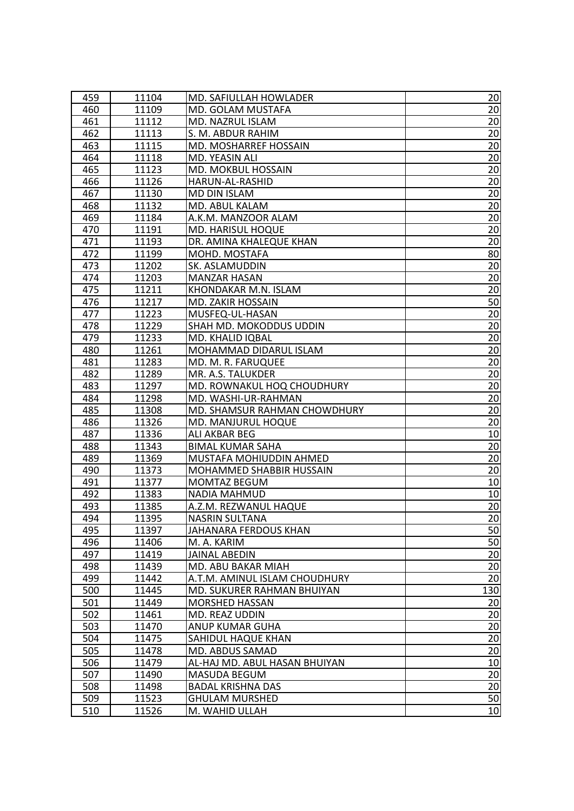| 459 | 11104 | MD. SAFIULLAH HOWLADER        | 20              |
|-----|-------|-------------------------------|-----------------|
| 460 | 11109 | MD. GOLAM MUSTAFA             | 20              |
| 461 | 11112 | MD. NAZRUL ISLAM              | 20              |
| 462 | 11113 | S. M. ABDUR RAHIM             | 20              |
| 463 | 11115 | MD. MOSHARREF HOSSAIN         | 20              |
| 464 | 11118 | MD. YEASIN ALI                | 20              |
| 465 | 11123 | <b>MD. MOKBUL HOSSAIN</b>     | 20              |
| 466 | 11126 | HARUN-AL-RASHID               | 20              |
| 467 | 11130 | MD DIN ISLAM                  | 20              |
| 468 | 11132 | MD. ABUL KALAM                | 20              |
| 469 | 11184 | A.K.M. MANZOOR ALAM           | 20              |
| 470 | 11191 | <b>MD. HARISUL HOQUE</b>      | $\overline{20}$ |
| 471 | 11193 | DR. AMINA KHALEQUE KHAN       | 20              |
| 472 | 11199 | MOHD. MOSTAFA                 | 80              |
| 473 | 11202 | SK. ASLAMUDDIN                | 20              |
| 474 | 11203 | <b>MANZAR HASAN</b>           | 20              |
| 475 | 11211 | KHONDAKAR M.N. ISLAM          | 20              |
| 476 | 11217 | MD. ZAKIR HOSSAIN             | 50              |
| 477 | 11223 | MUSFEQ-UL-HASAN               | 20              |
| 478 | 11229 | SHAH MD. MOKODDUS UDDIN       | 20              |
| 479 | 11233 | MD. KHALID IQBAL              | 20              |
| 480 | 11261 | MOHAMMAD DIDARUL ISLAM        | 20              |
| 481 | 11283 | MD. M. R. FARUQUEE            | 20              |
| 482 | 11289 | MR. A.S. TALUKDER             | 20              |
| 483 | 11297 | MD. ROWNAKUL HOQ CHOUDHURY    | 20              |
| 484 | 11298 | MD. WASHI-UR-RAHMAN           | 20              |
| 485 | 11308 | MD. SHAMSUR RAHMAN CHOWDHURY  | 20              |
| 486 | 11326 | MD. MANJURUL HOQUE            | 20              |
| 487 | 11336 | ALI AKBAR BEG                 | 10              |
| 488 | 11343 | <b>BIMAL KUMAR SAHA</b>       | 20              |
| 489 | 11369 | MUSTAFA MOHIUDDIN AHMED       | 20              |
| 490 | 11373 | MOHAMMED SHABBIR HUSSAIN      | 20              |
| 491 | 11377 | <b>MOMTAZ BEGUM</b>           | 10              |
| 492 | 11383 | <b>NADIA MAHMUD</b>           | 10              |
| 493 | 11385 | A.Z.M. REZWANUL HAQUE         | 20              |
| 494 | 11395 | <b>NASRIN SULTANA</b>         | 20              |
| 495 | 11397 | JAHANARA FERDOUS KHAN         | 50              |
| 496 | 11406 | M. A. KARIM                   | 50              |
| 497 | 11419 | <b>JAINAL ABEDIN</b>          | 20              |
| 498 | 11439 | MD. ABU BAKAR MIAH            | 20              |
| 499 | 11442 | A.T.M. AMINUL ISLAM CHOUDHURY | 20              |
| 500 | 11445 | MD. SUKURER RAHMAN BHUIYAN    | 130             |
| 501 | 11449 | <b>MORSHED HASSAN</b>         | 20              |
| 502 | 11461 | MD. REAZ UDDIN                | 20              |
| 503 | 11470 | ANUP KUMAR GUHA               | 20              |
| 504 | 11475 | SAHIDUL HAQUE KHAN            | 20              |
| 505 | 11478 | MD. ABDUS SAMAD               | 20              |
| 506 | 11479 | AL-HAJ MD. ABUL HASAN BHUIYAN | 10              |
| 507 | 11490 | <b>MASUDA BEGUM</b>           | $\overline{20}$ |
| 508 | 11498 | <b>BADAL KRISHNA DAS</b>      | 20              |
| 509 | 11523 | <b>GHULAM MURSHED</b>         | 50              |
| 510 | 11526 | M. WAHID ULLAH                | 10              |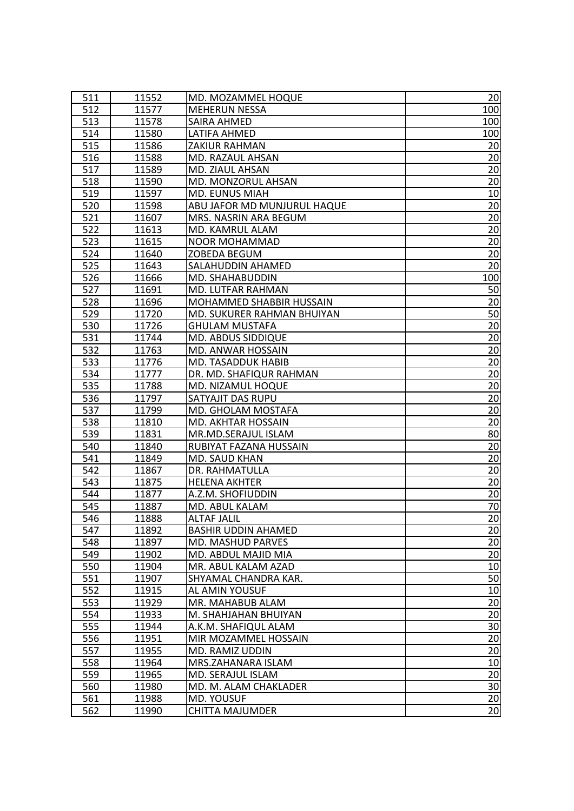| 511 | 11552 | MD. MOZAMMEL HOQUE          | 20              |
|-----|-------|-----------------------------|-----------------|
| 512 | 11577 | <b>MEHERUN NESSA</b>        | 100             |
| 513 | 11578 | SAIRA AHMED                 | 100             |
| 514 | 11580 | LATIFA AHMED                | 100             |
| 515 | 11586 | ZAKIUR RAHMAN               | 20              |
| 516 | 11588 | MD. RAZAUL AHSAN            | 20              |
| 517 | 11589 | MD. ZIAUL AHSAN             | 20              |
| 518 | 11590 | MD. MONZORUL AHSAN          | 20              |
| 519 | 11597 | <b>MD. EUNUS MIAH</b>       | 10              |
| 520 | 11598 | ABU JAFOR MD MUNJURUL HAQUE | 20              |
| 521 | 11607 | MRS. NASRIN ARA BEGUM       | 20              |
| 522 | 11613 | MD. KAMRUL ALAM             | 20              |
| 523 | 11615 | <b>NOOR MOHAMMAD</b>        | 20              |
| 524 | 11640 | ZOBEDA BEGUM                | 20              |
| 525 | 11643 | SALAHUDDIN AHAMED           | 20              |
| 526 | 11666 | MD. SHAHABUDDIN             | 100             |
| 527 | 11691 | MD. LUTFAR RAHMAN           | 50              |
| 528 | 11696 | MOHAMMED SHABBIR HUSSAIN    | 20              |
| 529 | 11720 | MD. SUKURER RAHMAN BHUIYAN  | 50              |
| 530 | 11726 | <b>GHULAM MUSTAFA</b>       | 20              |
| 531 | 11744 | MD. ABDUS SIDDIQUE          | 20              |
| 532 | 11763 | MD. ANWAR HOSSAIN           | $\overline{20}$ |
| 533 | 11776 | <b>MD. TASADDUK HABIB</b>   | 20              |
| 534 | 11777 | DR. MD. SHAFIQUR RAHMAN     | 20              |
| 535 | 11788 | MD. NIZAMUL HOQUE           | 20              |
| 536 | 11797 | SATYAJIT DAS RUPU           | 20              |
| 537 | 11799 | MD. GHOLAM MOSTAFA          | 20              |
| 538 | 11810 | MD. AKHTAR HOSSAIN          | 20              |
| 539 | 11831 | MR.MD.SERAJUL ISLAM         | 80              |
| 540 | 11840 | RUBIYAT FAZANA HUSSAIN      | 20              |
| 541 | 11849 | MD. SAUD KHAN               | 20              |
| 542 | 11867 | DR. RAHMATULLA              | 20              |
| 543 | 11875 | <b>HELENA AKHTER</b>        | 20              |
| 544 | 11877 | A.Z.M. SHOFIUDDIN           | 20              |
| 545 | 11887 | MD. ABUL KALAM              | 70              |
| 546 | 11888 | ALTAF JALIL                 | 20              |
| 547 | 11892 | <b>BASHIR UDDIN AHAMED</b>  | 20              |
| 548 | 11897 | MD. MASHUD PARVES           | 20              |
| 549 | 11902 | MD. ABDUL MAJID MIA         | $\overline{20}$ |
| 550 | 11904 | MR. ABUL KALAM AZAD         | 10              |
| 551 | 11907 | SHYAMAL CHANDRA KAR.        | 50              |
| 552 | 11915 | AL AMIN YOUSUF              | 10              |
| 553 | 11929 | MR. MAHABUB ALAM            | 20              |
| 554 | 11933 | M. SHAHJAHAN BHUIYAN        | 20              |
| 555 | 11944 | A.K.M. SHAFIQUL ALAM        | 30              |
| 556 | 11951 | MIR MOZAMMEL HOSSAIN        | 20              |
| 557 | 11955 | MD. RAMIZ UDDIN             | 20              |
| 558 | 11964 | MRS.ZAHANARA ISLAM          | 10              |
| 559 | 11965 | MD. SERAJUL ISLAM           | 20              |
| 560 | 11980 | MD. M. ALAM CHAKLADER       | 30              |
| 561 | 11988 | MD. YOUSUF                  | 20              |
| 562 | 11990 | <b>CHITTA MAJUMDER</b>      | $\overline{20}$ |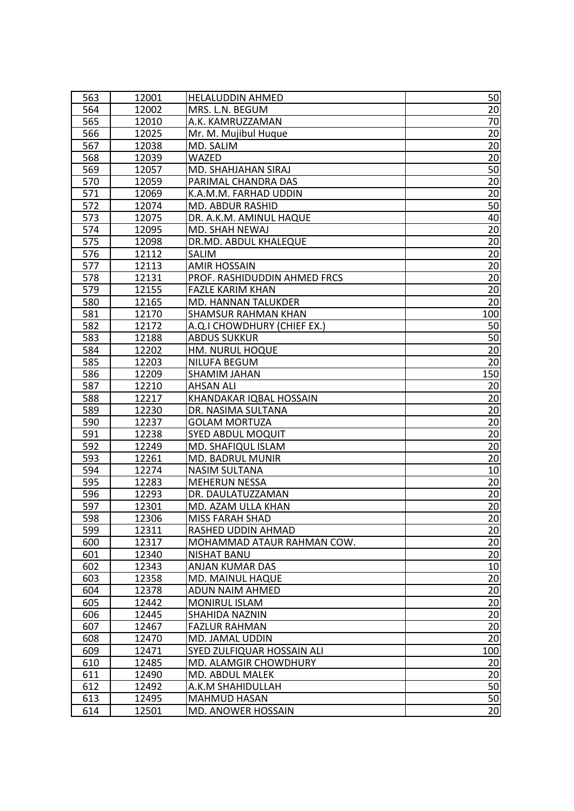| 563 | 12001 | <b>HELALUDDIN AHMED</b>      | 50              |
|-----|-------|------------------------------|-----------------|
| 564 | 12002 | MRS. L.N. BEGUM              | 20              |
| 565 | 12010 | A.K. KAMRUZZAMAN             | 70              |
| 566 | 12025 | Mr. M. Mujibul Huque         | 20              |
| 567 | 12038 | MD. SALIM                    | 20              |
| 568 | 12039 | <b>WAZED</b>                 | 20              |
| 569 | 12057 | MD. SHAHJAHAN SIRAJ          | 50              |
| 570 | 12059 | PARIMAL CHANDRA DAS          | 20              |
| 571 | 12069 | K.A.M.M. FARHAD UDDIN        | 20              |
| 572 | 12074 | MD. ABDUR RASHID             | 50              |
| 573 | 12075 | DR. A.K.M. AMINUL HAQUE      | 40              |
| 574 | 12095 | MD. SHAH NEWAJ               | 20              |
| 575 | 12098 | DR.MD. ABDUL KHALEQUE        | 20              |
| 576 | 12112 | SALIM                        | 20              |
| 577 | 12113 | <b>AMIR HOSSAIN</b>          | 20              |
| 578 | 12131 | PROF. RASHIDUDDIN AHMED FRCS | 20              |
| 579 | 12155 | <b>FAZLE KARIM KHAN</b>      | 20              |
| 580 | 12165 | <b>MD. HANNAN TALUKDER</b>   | 20              |
| 581 | 12170 | <b>SHAMSUR RAHMAN KHAN</b>   | 100             |
| 582 | 12172 | A.Q.I CHOWDHURY (CHIEF EX.)  | 50              |
| 583 | 12188 | <b>ABDUS SUKKUR</b>          | 50              |
| 584 | 12202 | HM. NURUL HOQUE              | $\overline{20}$ |
| 585 | 12203 | <b>NILUFA BEGUM</b>          | 20              |
| 586 | 12209 | SHAMIM JAHAN                 | 150             |
| 587 | 12210 | <b>AHSAN ALI</b>             | 20              |
| 588 | 12217 | KHANDAKAR IQBAL HOSSAIN      | 20              |
| 589 | 12230 | DR. NASIMA SULTANA           | 20              |
| 590 | 12237 | <b>GOLAM MORTUZA</b>         | 20              |
| 591 | 12238 | <b>SYED ABDUL MOQUIT</b>     | 20              |
| 592 | 12249 | MD. SHAFIQUL ISLAM           | 20              |
| 593 | 12261 | MD. BADRUL MUNIR             | 20              |
| 594 | 12274 | <b>NASIM SULTANA</b>         | 10              |
| 595 | 12283 | <b>MEHERUN NESSA</b>         | 20              |
| 596 | 12293 | DR. DAULATUZZAMAN            | 20              |
| 597 | 12301 | MD. AZAM ULLA KHAN           | 20              |
| 598 | 12306 | <b>MISS FARAH SHAD</b>       | 20              |
| 599 | 12311 | RASHED UDDIN AHMAD           | 20              |
| 600 | 12317 | MOHAMMAD ATAUR RAHMAN COW.   | 20              |
| 601 | 12340 | <b>NISHAT BANU</b>           | $\overline{20}$ |
| 602 | 12343 | ANJAN KUMAR DAS              | 10              |
| 603 | 12358 | MD. MAINUL HAQUE             | 20              |
| 604 | 12378 | ADUN NAIM AHMED              | $\overline{20}$ |
| 605 | 12442 | <b>MONIRUL ISLAM</b>         | 20              |
| 606 | 12445 | SHAHIDA NAZNIN               | 20              |
| 607 | 12467 | <b>FAZLUR RAHMAN</b>         | $\overline{20}$ |
| 608 | 12470 | MD. JAMAL UDDIN              | 20              |
| 609 | 12471 | SYED ZULFIQUAR HOSSAIN ALI   | 100             |
| 610 | 12485 | MD. ALAMGIR CHOWDHURY        | 20              |
| 611 | 12490 | MD. ABDUL MALEK              | 20              |
| 612 | 12492 | A.K.M SHAHIDULLAH            | 50              |
| 613 | 12495 | <b>MAHMUD HASAN</b>          | 50              |
| 614 | 12501 | MD. ANOWER HOSSAIN           | $\overline{20}$ |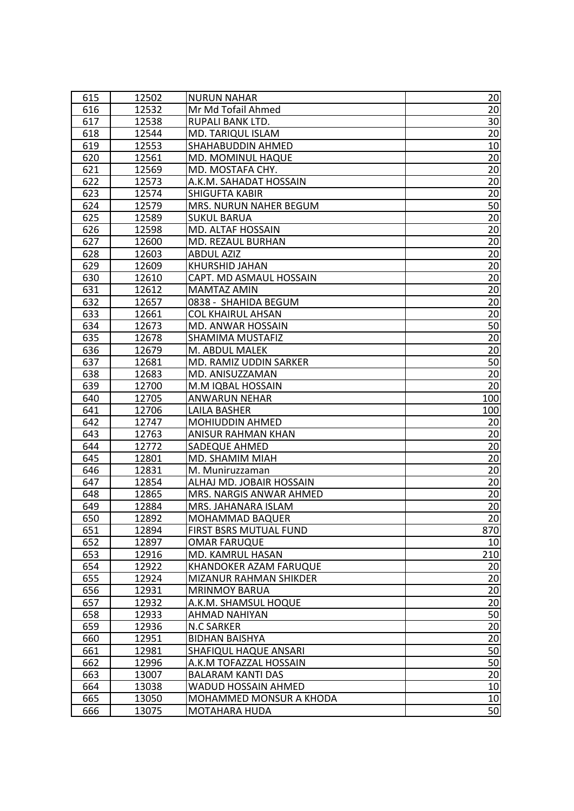| 615        | 12502          | <b>NURUN NAHAR</b>                            | 20              |
|------------|----------------|-----------------------------------------------|-----------------|
| 616        | 12532          | Mr Md Tofail Ahmed                            | 20              |
| 617        | 12538          | <b>RUPALI BANK LTD.</b>                       | 30              |
| 618        | 12544          | MD. TARIQUL ISLAM                             | 20              |
| 619        | 12553          | SHAHABUDDIN AHMED                             | 10              |
| 620        | 12561          | MD. MOMINUL HAQUE                             | 20              |
| 621        | 12569          | MD. MOSTAFA CHY.                              | 20              |
| 622        | 12573          | A.K.M. SAHADAT HOSSAIN                        | 20              |
| 623        | 12574          | <b>SHIGUFTA KABIR</b>                         | 20              |
| 624        | 12579          | MRS. NURUN NAHER BEGUM                        | 50              |
| 625        | 12589          | SUKUL BARUA                                   | 20              |
| 626        | 12598          | MD. ALTAF HOSSAIN                             | $\overline{20}$ |
| 627        | 12600          | MD. REZAUL BURHAN                             | 20              |
| 628        | 12603          | <b>ABDUL AZIZ</b>                             | 20              |
| 629        | 12609          | <b>KHURSHID JAHAN</b>                         | 20              |
| 630        | 12610          | CAPT. MD ASMAUL HOSSAIN                       | 20              |
| 631        | 12612          | <b>MAMTAZ AMIN</b>                            | 20              |
| 632        | 12657          | 0838 - SHAHIDA BEGUM                          | 20              |
| 633        | 12661          | <b>COL KHAIRUL AHSAN</b>                      | 20              |
| 634        | 12673          | MD. ANWAR HOSSAIN                             | 50              |
| 635        | 12678          | SHAMIMA MUSTAFIZ                              | 20              |
| 636        | 12679          | M. ABDUL MALEK                                | 20              |
| 637        | 12681          | MD. RAMIZ UDDIN SARKER                        | 50              |
| 638        | 12683          | MD. ANISUZZAMAN                               | 20              |
| 639        | 12700          | M.M IQBAL HOSSAIN                             | 20              |
| 640        | 12705          | <b>ANWARUN NEHAR</b>                          | 100             |
|            |                |                                               |                 |
|            |                |                                               |                 |
| 641        | 12706          | <b>LAILA BASHER</b>                           | 100             |
| 642        | 12747          | <b>MOHIUDDIN AHMED</b>                        | 20              |
| 643        | 12763          | ANISUR RAHMAN KHAN                            | 20              |
| 644        | 12772          | <b>SADEQUE AHMED</b>                          | 20              |
| 645        | 12801          | MD. SHAMIM MIAH                               | 20              |
| 646        | 12831          | M. Muniruzzaman                               | 20              |
| 647        | 12854          | ALHAJ MD. JOBAIR HOSSAIN                      | 20              |
| 648        | 12865<br>12884 | MRS. NARGIS ANWAR AHMED                       | 20              |
| 649        |                | MRS. JAHANARA ISLAM                           | $\overline{20}$ |
| 650        | 12892          | MOHAMMAD BAQUER                               | 20              |
| 651<br>652 | 12894<br>12897 | FIRST BSRS MUTUAL FUND<br><b>OMAR FARUQUE</b> | 870<br>10       |
| 653        | 12916          | MD. KAMRUL HASAN                              | 210             |
| 654        | 12922          | KHANDOKER AZAM FARUQUE                        |                 |
| 655        | 12924          | MIZANUR RAHMAN SHIKDER                        | 20<br>20        |
| 656        | 12931          | <b>MRINMOY BARUA</b>                          | 20              |
| 657        | 12932          |                                               | 20              |
| 658        | 12933          | A.K.M. SHAMSUL HOQUE<br>AHMAD NAHIYAN         | 50              |
| 659        | 12936          | <b>N.C SARKER</b>                             | 20              |
| 660        | 12951          | <b>BIDHAN BAISHYA</b>                         | 20              |
| 661        | 12981          | SHAFIQUL HAQUE ANSARI                         | 50              |
| 662        | 12996          | A.K.M TOFAZZAL HOSSAIN                        | 50              |
| 663        | 13007          | <b>BALARAM KANTI DAS</b>                      | $\overline{20}$ |
| 664        | 13038          | WADUD HOSSAIN AHMED                           | 10              |
| 665        | 13050          | MOHAMMED MONSUR A KHODA                       | 10              |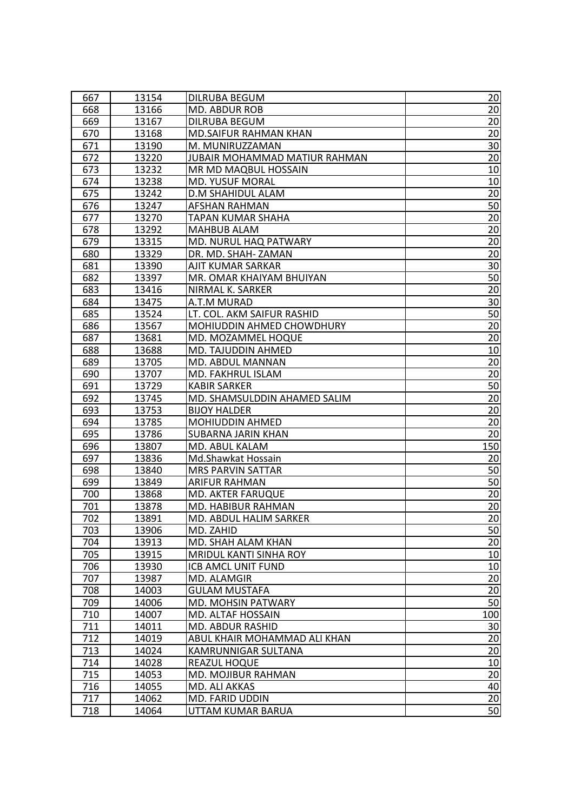| 667 | 13154 | DILRUBA BEGUM                 | 20              |
|-----|-------|-------------------------------|-----------------|
| 668 | 13166 | MD. ABDUR ROB                 | 20              |
| 669 | 13167 | <b>DILRUBA BEGUM</b>          | 20              |
| 670 | 13168 | MD.SAIFUR RAHMAN KHAN         | 20              |
| 671 | 13190 | M. MUNIRUZZAMAN               | 30              |
| 672 | 13220 | JUBAIR MOHAMMAD MATIUR RAHMAN | 20              |
| 673 | 13232 | MR MD MAQBUL HOSSAIN          | 10              |
| 674 | 13238 | <b>MD. YUSUF MORAL</b>        | 10              |
| 675 | 13242 | <b>D.M SHAHIDUL ALAM</b>      | 20              |
| 676 | 13247 | AFSHAN RAHMAN                 | 50              |
| 677 | 13270 | TAPAN KUMAR SHAHA             | 20              |
| 678 | 13292 | MAHBUB ALAM                   | $\overline{20}$ |
| 679 | 13315 | MD. NURUL HAQ PATWARY         | 20              |
| 680 | 13329 | DR. MD. SHAH-ZAMAN            | 20              |
| 681 | 13390 | AJIT KUMAR SARKAR             | 30              |
| 682 | 13397 | MR. OMAR KHAIYAM BHUIYAN      | 50              |
| 683 | 13416 | NIRMAL K. SARKER              | 20              |
| 684 | 13475 | A.T.M MURAD                   | 30              |
| 685 | 13524 | LT. COL. AKM SAIFUR RASHID    | 50              |
| 686 | 13567 | MOHIUDDIN AHMED CHOWDHURY     | 20              |
| 687 | 13681 | MD. MOZAMMEL HOQUE            | 20              |
| 688 | 13688 | MD. TAJUDDIN AHMED            | 10              |
| 689 | 13705 | <b>MD. ABDUL MANNAN</b>       | 20              |
| 690 | 13707 | MD. FAKHRUL ISLAM             | 20              |
| 691 | 13729 | <b>KABIR SARKER</b>           | 50              |
| 692 | 13745 | MD. SHAMSULDDIN AHAMED SALIM  | 20              |
| 693 | 13753 | <b>BIJOY HALDER</b>           | 20              |
| 694 | 13785 | <b>MOHIUDDIN AHMED</b>        | 20              |
| 695 | 13786 | SUBARNA JARIN KHAN            | 20              |
| 696 | 13807 | MD. ABUL KALAM                | 150             |
| 697 | 13836 | Md.Shawkat Hossain            | 20              |
| 698 | 13840 | <b>MRS PARVIN SATTAR</b>      | 50              |
| 699 | 13849 | ARIFUR RAHMAN                 | 50              |
| 700 | 13868 | <b>MD. AKTER FARUQUE</b>      | 20              |
| 701 | 13878 | MD. HABIBUR RAHMAN            | 20              |
| 702 | 13891 | MD. ABDUL HALIM SARKER        | 20              |
| 703 | 13906 | MD. ZAHID                     | 50              |
| 704 | 13913 | MD. SHAH ALAM KHAN            | 20              |
| 705 | 13915 | <b>MRIDUL KANTI SINHA ROY</b> | 10              |
| 706 | 13930 | ICB AMCL UNIT FUND            | 10              |
| 707 | 13987 | MD. ALAMGIR                   | 20              |
| 708 | 14003 | <b>GULAM MUSTAFA</b>          | 20              |
| 709 | 14006 | MD. MOHSIN PATWARY            | 50              |
| 710 | 14007 | MD. ALTAF HOSSAIN             | 100             |
| 711 | 14011 | MD. ABDUR RASHID              | 30              |
| 712 | 14019 | ABUL KHAIR MOHAMMAD ALI KHAN  | 20              |
| 713 | 14024 | KAMRUNNIGAR SULTANA           | 20              |
| 714 | 14028 | <b>REAZUL HOQUE</b>           | 10              |
| 715 | 14053 | MD. MOJIBUR RAHMAN            | $\overline{20}$ |
| 716 | 14055 | MD. ALI AKKAS                 | 40              |
| 717 | 14062 | <b>MD. FARID UDDIN</b>        | 20              |
| 718 | 14064 | UTTAM KUMAR BARUA             | 50              |